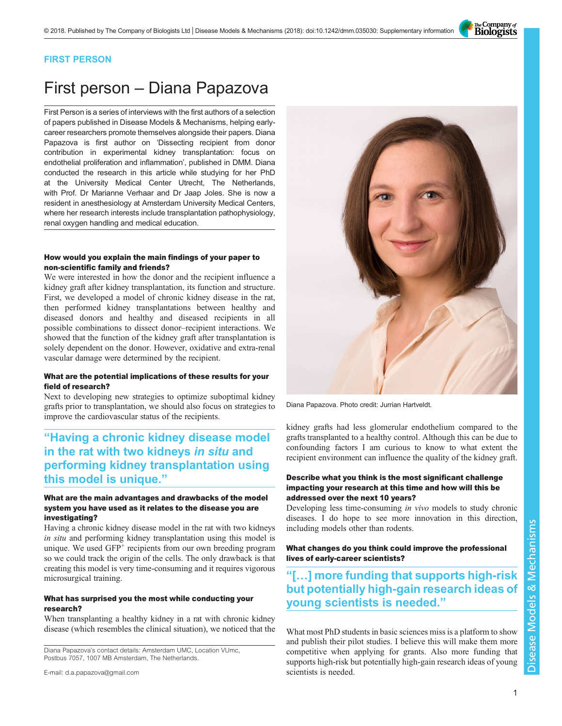The Company of<br>**Biologists** 

### FIRST PERSON

# First person – Diana Papazova

First Person is a series of interviews with the first authors of a selection of papers published in Disease Models & Mechanisms, helping earlycareer researchers promote themselves alongside their papers. Diana Papazova is first author on '[Dissecting recipient from donor](#page-1-0) [contribution in experimental kidney transplantation: focus on](#page-1-0) [endothelial proliferation and inflammation](#page-1-0)', published in DMM. Diana conducted the research in this article while studying for her PhD at the University Medical Center Utrecht, The Netherlands, with Prof. Dr Marianne Verhaar and Dr Jaap Joles. She is now a resident in anesthesiology at Amsterdam University Medical Centers, where her research interests include transplantation pathophysiology, renal oxygen handling and medical education.

#### How would you explain the main findings of your paper to non-scientific family and friends?

We were interested in how the donor and the recipient influence a kidney graft after kidney transplantation, its function and structure. First, we developed a model of chronic kidney disease in the rat, then performed kidney transplantations between healthy and diseased donors and healthy and diseased recipients in all possible combinations to dissect donor–recipient interactions. We showed that the function of the kidney graft after transplantation is solely dependent on the donor. However, oxidative and extra-renal vascular damage were determined by the recipient.

#### What are the potential implications of these results for your field of research?

Next to developing new strategies to optimize suboptimal kidney grafts prior to transplantation, we should also focus on strategies to improve the cardiovascular status of the recipients.

## "Having a chronic kidney disease model in the rat with two kidneys in situ and performing kidney transplantation using this model is unique."

#### What are the main advantages and drawbacks of the model system you have used as it relates to the disease you are investigating?

Having a chronic kidney disease model in the rat with two kidneys in situ and performing kidney transplantation using this model is unique. We used GFP<sup>+</sup> recipients from our own breeding program so we could track the origin of the cells. The only drawback is that creating this model is very time-consuming and it requires vigorous microsurgical training.

#### What has surprised you the most while conducting your research?

When transplanting a healthy kidney in a rat with chronic kidney disease (which resembles the clinical situation), we noticed that the

Diana Papazova's contact details: Amsterdam UMC, Location VUmc, Postbus 7057, 1007 MB Amsterdam, The Netherlands.



Diana Papazova. Photo credit: Jurrian Hartveldt.

kidney grafts had less glomerular endothelium compared to the grafts transplanted to a healthy control. Although this can be due to confounding factors I am curious to know to what extent the recipient environment can influence the quality of the kidney graft.

#### Describe what you think is the most significant challenge impacting your research at this time and how will this be addressed over the next 10 years?

Developing less time-consuming in vivo models to study chronic diseases. I do hope to see more innovation in this direction, including models other than rodents.

What changes do you think could improve the professional lives of early-career scientists?

## "[…] more funding that supports high-risk but potentially high-gain research ideas of young scientists is needed."

What most PhD students in basic sciences miss is a platform to show and publish their pilot studies. I believe this will make them more competitive when applying for grants. Also more funding that supports high-risk but potentially high-gain research ideas of young scientists is needed.